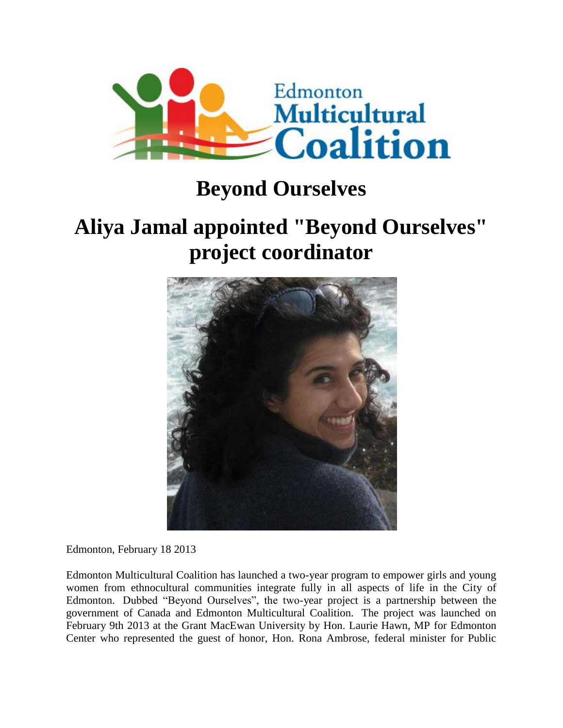

## **Beyond Ourselves**

## **Aliya Jamal appointed "Beyond Ourselves" project coordinator**



Edmonton, February 18 2013

Edmonton Multicultural Coalition has launched a two-year program to empower girls and young women from ethnocultural communities integrate fully in all aspects of life in the City of Edmonton. Dubbed "Beyond Ourselves", the two-year project is a partnership between the government of Canada and Edmonton Multicultural Coalition. The project was launched on February 9th 2013 at the Grant MacEwan University by Hon. Laurie Hawn, MP for Edmonton Center who represented the guest of honor, Hon. Rona Ambrose, federal minister for Public